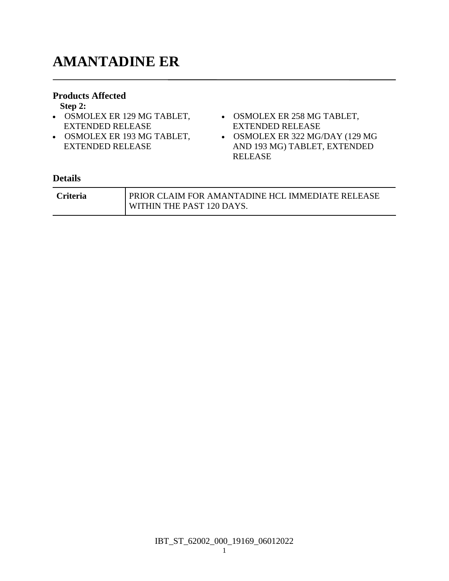# **AMANTADINE ER**

#### **Products Affected**

**Step 2:**

- OSMOLEX ER 129 MG TABLET, OSMOLEX ER 258 MG TABLET, EXTENDED RELEASE
- OSMOLEX ER 193 MG TABLET, EXTENDED RELEASE
- EXTENDED RELEASE
- OSMOLEX ER 322 MG/DAY (129 MG AND 193 MG) TABLET, EXTENDED RELEASE

| <b>Criteria</b> | <b>I PRIOR CLAIM FOR AMANTADINE HCL IMMEDIATE RELEASE</b> |
|-----------------|-----------------------------------------------------------|
|                 | WITHIN THE PAST 120 DAYS.                                 |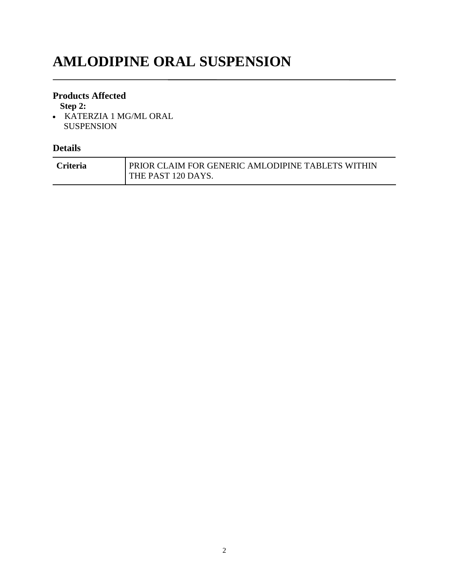# **AMLODIPINE ORAL SUSPENSION**

### **Products Affected**

**Step 2:**

 KATERZIA 1 MG/ML ORAL SUSPENSION

| <b>Criteria</b> | PRIOR CLAIM FOR GENERIC AMLODIPINE TABLETS WITHIN |
|-----------------|---------------------------------------------------|
|                 | THE PAST 120 DAYS.                                |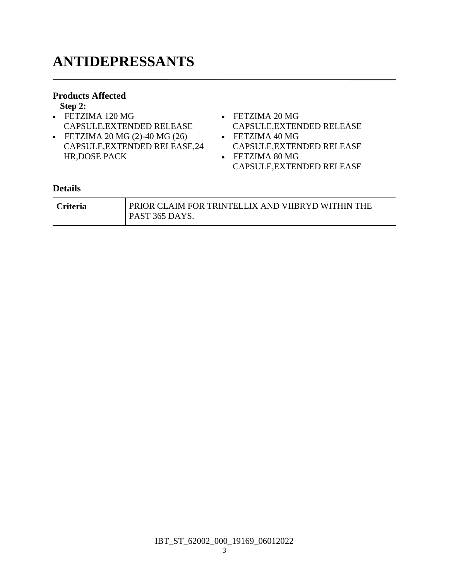# **ANTIDEPRESSANTS**

### **Products Affected**

**Step 2:**

- FETZIMA 120 MG CAPSULE,EXTENDED RELEASE
- FETZIMA 20 MG (2)-40 MG (26) CAPSULE,EXTENDED RELEASE,24 HR,DOSE PACK
- FETZIMA 20 MG CAPSULE,EXTENDED RELEASE
- FETZIMA 40 MG CAPSULE,EXTENDED RELEASE
- FETZIMA 80 MG CAPSULE,EXTENDED RELEASE

| <b>Criteria</b> | PRIOR CLAIM FOR TRINTELLIX AND VIIBRYD WITHIN THE |
|-----------------|---------------------------------------------------|
|                 | PAST 365 DAYS.                                    |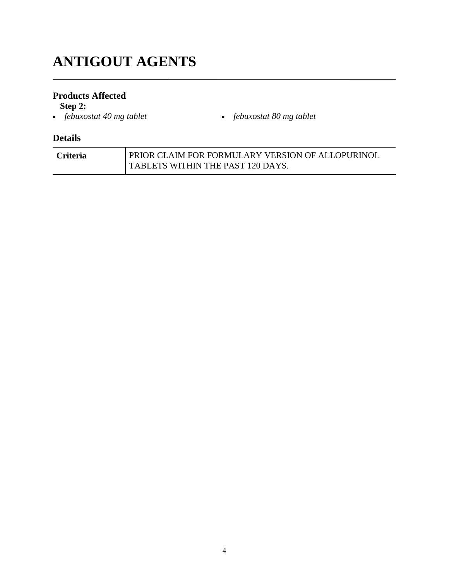# **ANTIGOUT AGENTS**

### **Products Affected**

**Step 2:**<br>• *febuxostat 40 mg tablet* 

*febuxostat 40 mg tablet febuxostat 80 mg tablet*

| <b>Criteria</b> | PRIOR CLAIM FOR FORMULARY VERSION OF ALLOPURINOL |
|-----------------|--------------------------------------------------|
|                 | TABLETS WITHIN THE PAST 120 DAYS.                |
|                 |                                                  |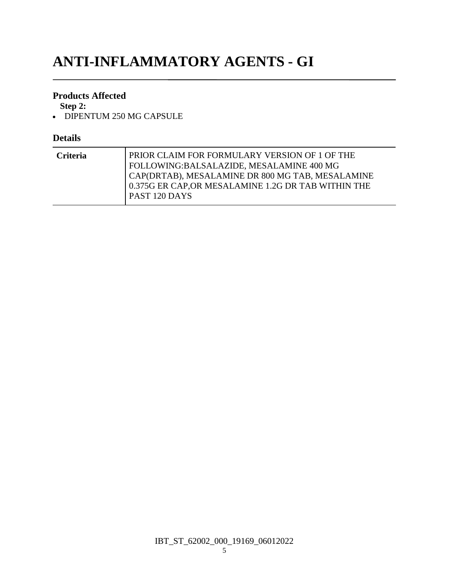# **ANTI-INFLAMMATORY AGENTS - GI**

### **Products Affected**

**Step 2:**

• DIPENTUM 250 MG CAPSULE

| PRIOR CLAIM FOR FORMULARY VERSION OF 1 OF THE<br><b>Criteria</b><br>FOLLOWING:BALSALAZIDE, MESALAMINE 400 MG<br>CAP(DRTAB), MESALAMINE DR 800 MG TAB, MESALAMINE<br>0.375G ER CAP, OR MESALAMINE 1.2G DR TAB WITHIN THE<br>PAST 120 DAYS |
|------------------------------------------------------------------------------------------------------------------------------------------------------------------------------------------------------------------------------------------|
|------------------------------------------------------------------------------------------------------------------------------------------------------------------------------------------------------------------------------------------|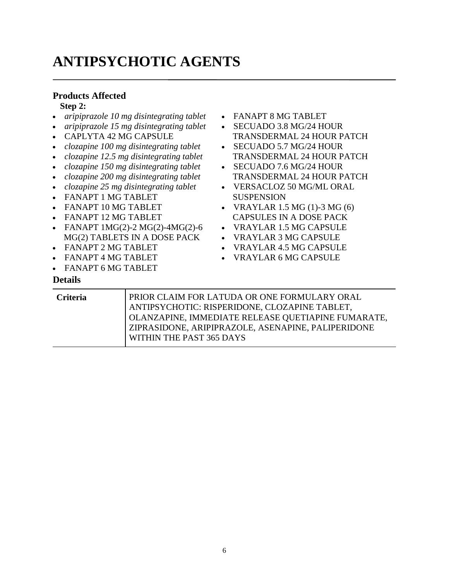# **ANTIPSYCHOTIC AGENTS**

### **Products Affected**

#### **Step 2:**

- *aripiprazole 10 mg disintegrating tablet*
- *aripiprazole 15 mg disintegrating tablet*
- CAPLYTA 42 MG CAPSULE
- *clozapine 100 mg disintegrating tablet*
- *clozapine 12.5 mg disintegrating tablet*
- *clozapine 150 mg disintegrating tablet*
- *clozapine 200 mg disintegrating tablet*
- *clozapine 25 mg disintegrating tablet*
- FANAPT 1 MG TABLET
- FANAPT 10 MG TABLET
- FANAPT 12 MG TABLET
- FANAPT 1MG(2)-2 MG(2)-4MG(2)-6 MG(2) TABLETS IN A DOSE PACK
- FANAPT 2 MG TABLET
- FANAPT 4 MG TABLET
- FANAPT 6 MG TABLET

- FANAPT 8 MG TABLET
- SECUADO 3.8 MG/24 HOUR TRANSDERMAL 24 HOUR PATCH
- SECUADO 5.7 MG/24 HOUR TRANSDERMAL 24 HOUR PATCH
- SECUADO 7.6 MG/24 HOUR TRANSDERMAL 24 HOUR PATCH
- VERSACLOZ 50 MG/ML ORAL SUSPENSION
- VRAYLAR  $1.5$  MG  $(1)$ -3 MG  $(6)$ CAPSULES IN A DOSE PACK
- VRAYLAR 1.5 MG CAPSULE
- VRAYLAR 3 MG CAPSULE
- VRAYLAR 4.5 MG CAPSULE
- VRAYLAR 6 MG CAPSULE

| <b>Criteria</b> | PRIOR CLAIM FOR LATUDA OR ONE FORMULARY ORAL       |
|-----------------|----------------------------------------------------|
|                 | ANTIPSYCHOTIC: RISPERIDONE, CLOZAPINE TABLET,      |
|                 | OLANZAPINE, IMMEDIATE RELEASE QUETIAPINE FUMARATE, |
|                 | ZIPRASIDONE, ARIPIPRAZOLE, ASENAPINE, PALIPERIDONE |
|                 | WITHIN THE PAST 365 DAYS                           |
|                 |                                                    |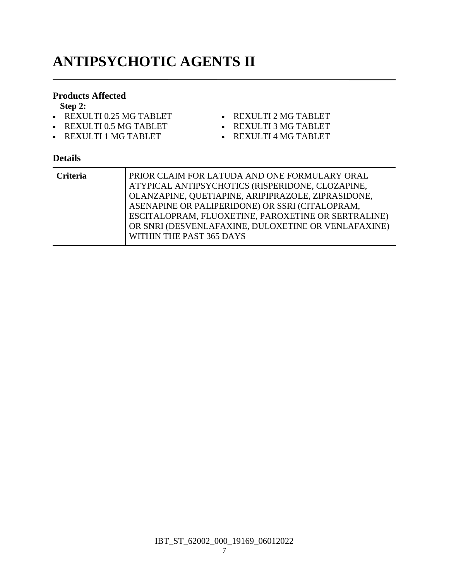# **ANTIPSYCHOTIC AGENTS II**

#### **Products Affected**

**Step 2:**

- REXULTI 0.25 MG TABLET
- REXULTI 0.5 MG TABLET
- REXULTI 1 MG TABLET
- REXULTI 2 MG TABLET
- REXULTI 3 MG TABLET
- REXULTI 4 MG TABLET

| Criteria | PRIOR CLAIM FOR LATUDA AND ONE FORMULARY ORAL       |
|----------|-----------------------------------------------------|
|          | ATYPICAL ANTIPSYCHOTICS (RISPERIDONE, CLOZAPINE,    |
|          | OLANZAPINE, QUETIAPINE, ARIPIPRAZOLE, ZIPRASIDONE,  |
|          | ASENAPINE OR PALIPERIDONE) OR SSRI (CITALOPRAM,     |
|          | ESCITALOPRAM, FLUOXETINE, PAROXETINE OR SERTRALINE) |
|          | OR SNRI (DESVENLAFAXINE, DULOXETINE OR VENLAFAXINE) |
|          | WITHIN THE PAST 365 DAYS                            |
|          |                                                     |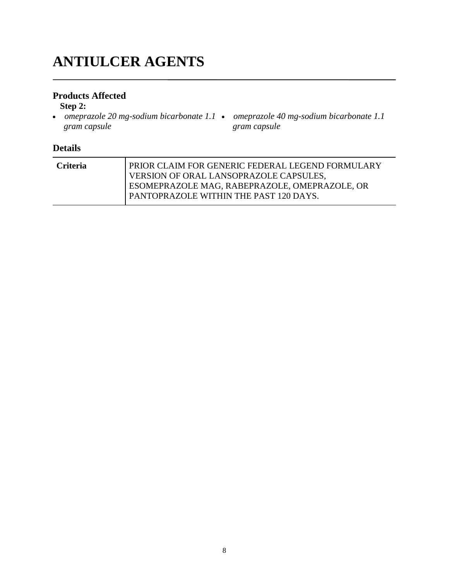# **ANTIULCER AGENTS**

### **Products Affected**

#### **Step 2:**

 *omeprazole 20 mg-sodium bicarbonate 1.1 omeprazole 40 mg-sodium bicarbonate 1.1 gram capsule gram capsule*

| <b>Criteria</b> | PRIOR CLAIM FOR GENERIC FEDERAL LEGEND FORMULARY |
|-----------------|--------------------------------------------------|
|                 | VERSION OF ORAL LANSOPRAZOLE CAPSULES,           |
|                 | ESOMEPRAZOLE MAG, RABEPRAZOLE, OMEPRAZOLE, OR    |
|                 | PANTOPRAZOLE WITHIN THE PAST 120 DAYS.           |
|                 |                                                  |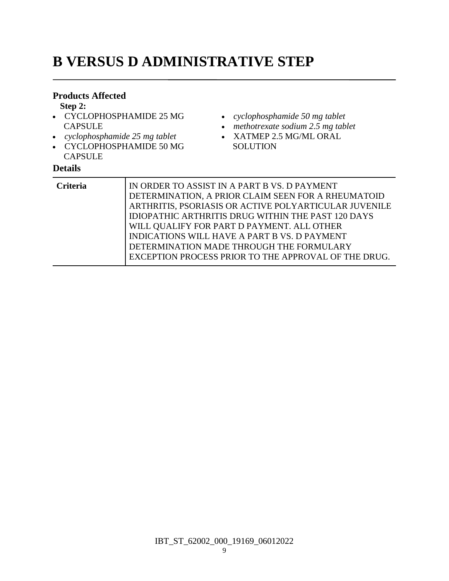# **B VERSUS D ADMINISTRATIVE STEP**

#### **Products Affected**

**Step 2:**

- CYCLOPHOSPHAMIDE 25 MG **CAPSULE**
- *cyclophosphamide 25 mg tablet*
- CYCLOPHOSPHAMIDE 50 MG CAPSULE

- *cyclophosphamide 50 mg tablet*
- *methotrexate sodium 2.5 mg tablet*
- XATMEP 2.5 MG/ML ORAL **SOLUTION**

| <b>Criteria</b> | IN ORDER TO ASSIST IN A PART B VS. D PAYMENT<br>DETERMINATION, A PRIOR CLAIM SEEN FOR A RHEUMATOID<br>ARTHRITIS, PSORIASIS OR ACTIVE POLYARTICULAR JUVENILE<br>IDIOPATHIC ARTHRITIS DRUG WITHIN THE PAST 120 DAYS<br>WILL QUALIFY FOR PART D PAYMENT. ALL OTHER<br>INDICATIONS WILL HAVE A PART B VS. D PAYMENT<br>DETERMINATION MADE THROUGH THE FORMULARY |
|-----------------|-------------------------------------------------------------------------------------------------------------------------------------------------------------------------------------------------------------------------------------------------------------------------------------------------------------------------------------------------------------|
|                 | EXCEPTION PROCESS PRIOR TO THE APPROVAL OF THE DRUG.                                                                                                                                                                                                                                                                                                        |
|                 |                                                                                                                                                                                                                                                                                                                                                             |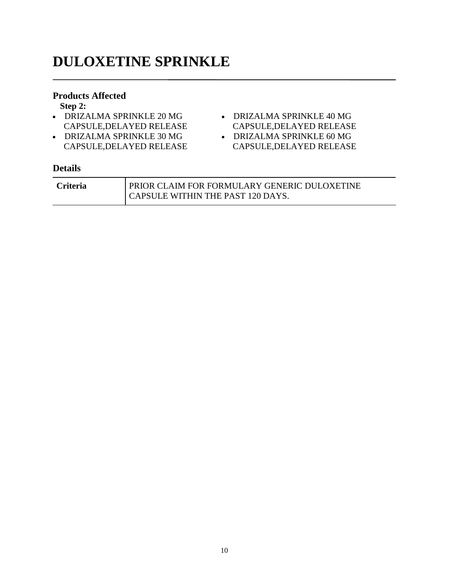# **DULOXETINE SPRINKLE**

### **Products Affected**

**Step 2:**

- DRIZALMA SPRINKLE 20 MG CAPSULE,DELAYED RELEASE
- DRIZALMA SPRINKLE 30 MG CAPSULE,DELAYED RELEASE
- DRIZALMA SPRINKLE 40 MG CAPSULE,DELAYED RELEASE
- DRIZALMA SPRINKLE 60 MG CAPSULE,DELAYED RELEASE

| <b>Criteria</b> | PRIOR CLAIM FOR FORMULARY GENERIC DULOXETINE |
|-----------------|----------------------------------------------|
|                 | CAPSULE WITHIN THE PAST 120 DAYS.            |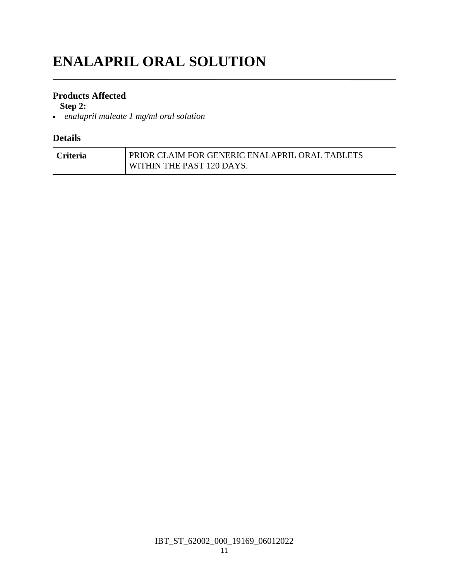# **ENALAPRIL ORAL SOLUTION**

### **Products Affected**

**Step 2:**

*enalapril maleate 1 mg/ml oral solution*

| <b>Criteria</b> | PRIOR CLAIM FOR GENERIC ENALAPRIL ORAL TABLETS |
|-----------------|------------------------------------------------|
|                 | WITHIN THE PAST 120 DAYS.                      |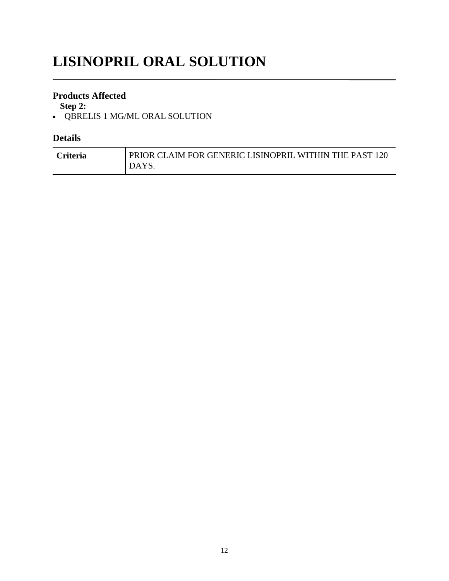# **LISINOPRIL ORAL SOLUTION**

### **Products Affected**

**Step 2:**

QBRELIS 1 MG/ML ORAL SOLUTION

| <b>Criteria</b> | PRIOR CLAIM FOR GENERIC LISINOPRIL WITHIN THE PAST 120 |
|-----------------|--------------------------------------------------------|
|                 | DAYS.                                                  |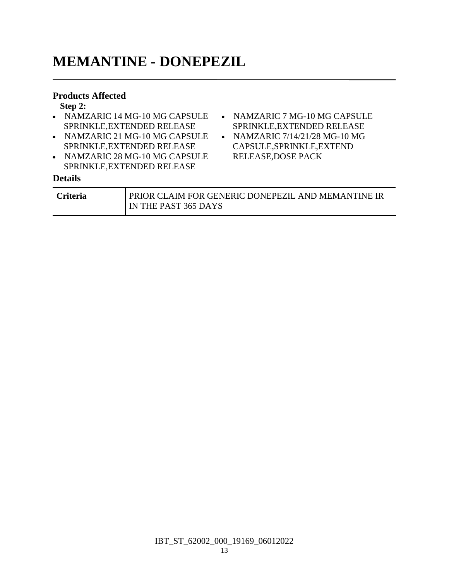# **MEMANTINE - DONEPEZIL**

#### **Products Affected**

**Step 2:**

| $\mathbf{u} \mathbf{v}$ $\mathbf{v}$ |                                  |  |
|--------------------------------------|----------------------------------|--|
| • NAMZARIC 14 MG-10 MG CAPSULE       | • NAMZARIC 7 MG-10 MG CAPSULE    |  |
| SPRINKLE, EXTENDED RELEASE           | SPRINKLE, EXTENDED RELEASE       |  |
| • NAMZARIC 21 MG-10 MG CAPSULE       | • NAMZARIC $7/14/21/28$ MG-10 MG |  |
| SPRINKLE, EXTENDED RELEASE           | CAPSULE, SPRINKLE, EXTEND        |  |
| • NAMZARIC 28 MG-10 MG CAPSULE       | <b>RELEASE, DOSE PACK</b>        |  |
| SPRINKLE, EXTENDED RELEASE           |                                  |  |
| <b>Details</b>                       |                                  |  |

| <b>Criteria</b> | <b>PRIOR CLAIM FOR GENERIC DONEPEZIL AND MEMANTINE IR</b> |  |
|-----------------|-----------------------------------------------------------|--|
|                 | IN THE PAST 365 DAYS                                      |  |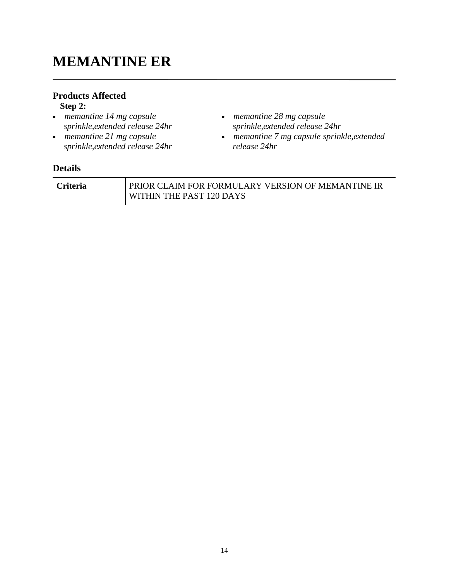# **MEMANTINE ER**

# **Products Affected**

### **Step 2:**

- *memantine 14 mg capsule sprinkle,extended release 24hr*
- *memantine 21 mg capsule sprinkle,extended release 24hr*
- *memantine 28 mg capsule sprinkle,extended release 24hr*
- *memantine 7 mg capsule sprinkle,extended release 24hr*

| <b>Criteria</b> | <b>PRIOR CLAIM FOR FORMULARY VERSION OF MEMANTINE IR</b> |
|-----------------|----------------------------------------------------------|
|                 | WITHIN THE PAST 120 DAYS                                 |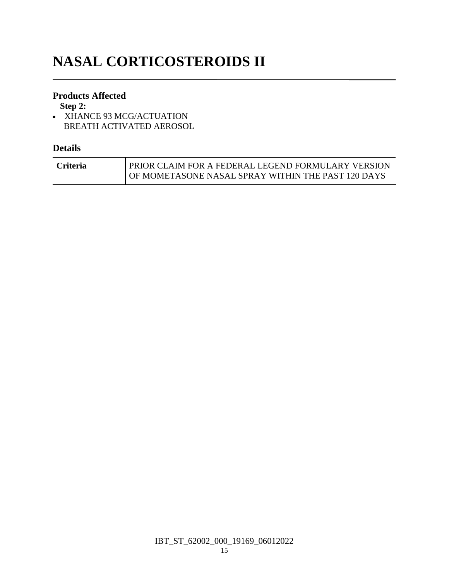# **NASAL CORTICOSTEROIDS II**

### **Products Affected**

**Step 2:**

• XHANCE 93 MCG/ACTUATION BREATH ACTIVATED AEROSOL

| <b>Criteria</b> | PRIOR CLAIM FOR A FEDERAL LEGEND FORMULARY VERSION |
|-----------------|----------------------------------------------------|
|                 | OF MOMETASONE NASAL SPRAY WITHIN THE PAST 120 DAYS |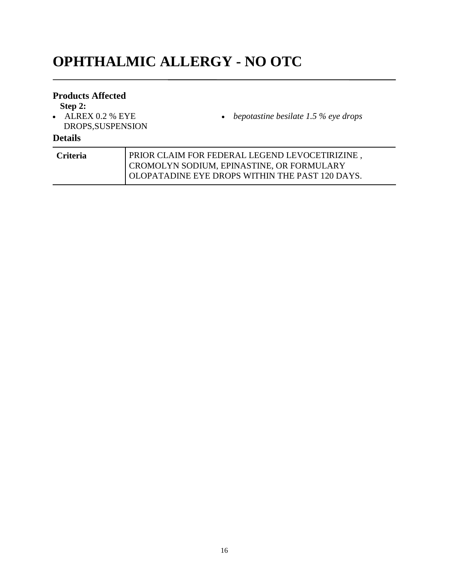# **OPHTHALMIC ALLERGY - NO OTC**

### **Products Affected**

**Step 2:**

 $\bullet$  ALREX 0.2 % EYE DROPS,SUSPENSION *bepotastine besilate 1.5 % eye drops*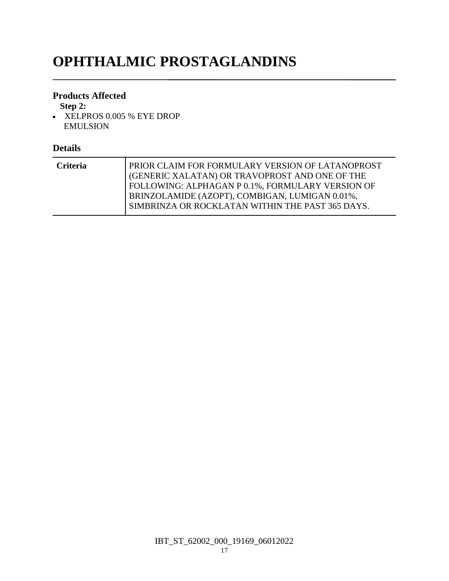# **OPHTHALMIC PROSTAGLANDINS**

### **Products Affected**

**Step 2:**

 XELPROS 0.005 % EYE DROP EMULSION

| <b>Criteria</b> | PRIOR CLAIM FOR FORMULARY VERSION OF LATANOPROST<br>(GENERIC XALATAN) OR TRAVOPROST AND ONE OF THE<br>FOLLOWING: ALPHAGAN P 0.1%, FORMULARY VERSION OF<br>BRINZOLAMIDE (AZOPT), COMBIGAN, LUMIGAN 0.01%,<br>SIMBRINZA OR ROCKLATAN WITHIN THE PAST 365 DAYS. |
|-----------------|--------------------------------------------------------------------------------------------------------------------------------------------------------------------------------------------------------------------------------------------------------------|
|                 |                                                                                                                                                                                                                                                              |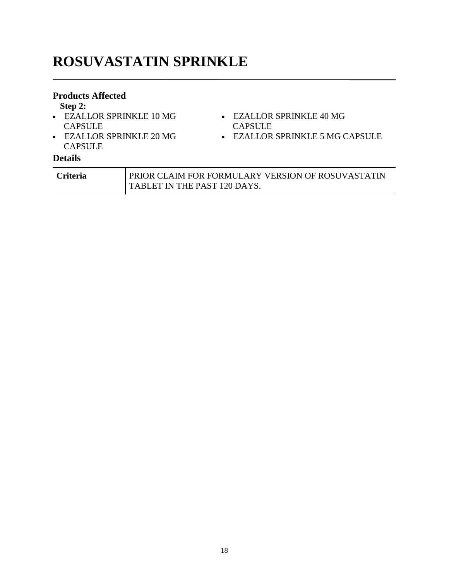# **ROSUVASTATIN SPRINKLE**

#### **Products Affected**

#### **Step 2:**

- EZALLOR SPRINKLE 10 MG EZALLOR SPRINKLE 40 MG **CAPSULE**
- EZALLOR SPRINKLE 20 MG **CAPSULE**

### **Details**

| <b>Criteria</b> | I PRIOR CLAIM FOR FORMULARY VERSION OF ROSUVASTATIN |
|-----------------|-----------------------------------------------------|
|                 | <b>TABLET IN THE PAST 120 DAYS.</b>                 |

CAPSULE

EZALLOR SPRINKLE 5 MG CAPSULE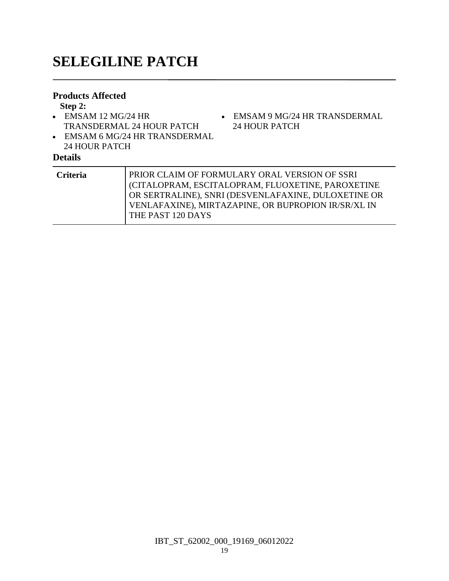# **SELEGILINE PATCH**

#### **Products Affected**

**Step 2:**

- EMSAM 12 MG/24 HR TRANSDERMAL 24 HOUR PATCH
- EMSAM 6 MG/24 HR TRANSDERMAL 24 HOUR PATCH

# **Details**

| Jetails         |                                                                                                                                                                                                                 |
|-----------------|-----------------------------------------------------------------------------------------------------------------------------------------------------------------------------------------------------------------|
| <b>Criteria</b> | PRIOR CLAIM OF FORMULARY ORAL VERSION OF SSRI<br>CITALOPRAM, ESCITALOPRAM, FLUOXETINE, PAROXETINE<br>OR SERTRALINE), SNRI (DESVENLAFAXINE, DULOXETINE OR<br>VENLAFAXINE), MIRTAZAPINE, OR BUPROPION IR/SR/XL IN |
|                 | THE PAST 120 DAYS                                                                                                                                                                                               |

EMSAM 9 MG/24 HR TRANSDERMAL

24 HOUR PATCH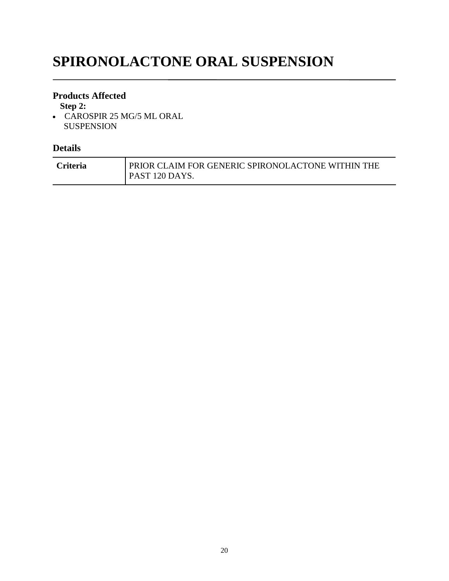# **SPIRONOLACTONE ORAL SUSPENSION**

#### **Products Affected**

**Step 2:**

 CAROSPIR 25 MG/5 ML ORAL SUSPENSION

| <b>Criteria</b> | PRIOR CLAIM FOR GENERIC SPIRONOLACTONE WITHIN THE |  |
|-----------------|---------------------------------------------------|--|
|                 | PAST 120 DAYS.                                    |  |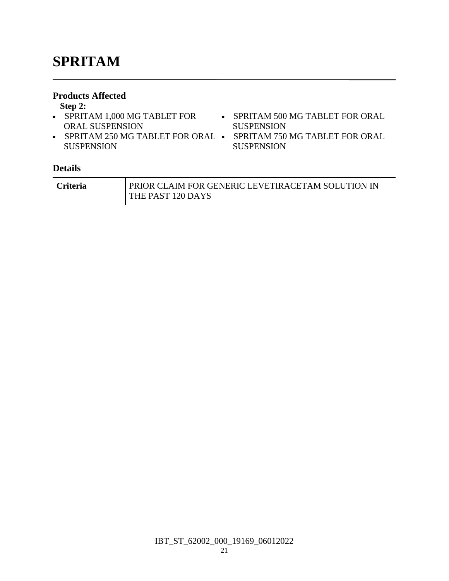# **SPRITAM**

#### **Products Affected**

**Step 2:**

- SPRITAM 1,000 MG TABLET FOR SPRITAM 500 MG TABLET FOR ORAL ORAL SUSPENSION • SPRITAM 250 MG TABLET FOR ORAL • SPRITAM 750 MG TABLET FOR ORAL SUSPENSION
- SUSPENSION
- 
- **SUSPENSION**

| <b>Criteria</b> | PRIOR CLAIM FOR GENERIC LEVETIRACETAM SOLUTION IN |
|-----------------|---------------------------------------------------|
|                 | THE PAST 120 DAYS                                 |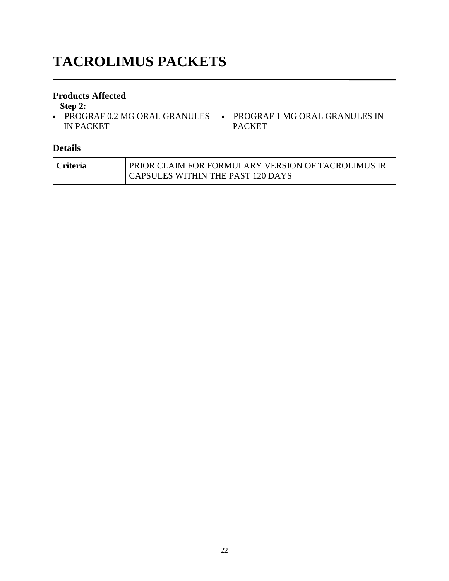# **TACROLIMUS PACKETS**

#### **Products Affected**

**Step 2:**

• PROGRAF 0.2 MG ORAL GRANULES • PROGRAF 1 MG ORAL GRANULES IN IN PACKET PACKET

| <b>Criteria</b> | PRIOR CLAIM FOR FORMULARY VERSION OF TACROLIMUS IR |
|-----------------|----------------------------------------------------|
|                 | CAPSULES WITHIN THE PAST 120 DAYS                  |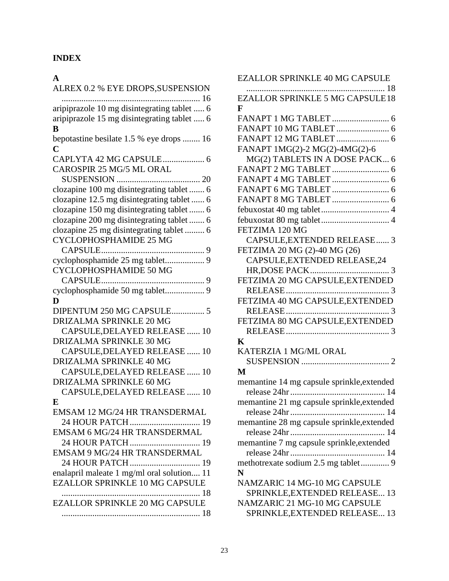## **INDEX**

### **A**

| ALREX 0.2 % EYE DROPS, SUSPENSION           |
|---------------------------------------------|
| 16                                          |
| aripiprazole 10 mg disintegrating tablet  6 |
| aripiprazole 15 mg disintegrating tablet  6 |
| B                                           |
| bepotastine besilate 1.5 % eye drops  16    |
| C                                           |
|                                             |
| CAROSPIR 25 MG/5 ML ORAL                    |
|                                             |
| clozapine 100 mg disintegrating tablet  6   |
| clozapine 12.5 mg disintegrating tablet  6  |
| clozapine 150 mg disintegrating tablet  6   |
| clozapine 200 mg disintegrating tablet  6   |
| clozapine 25 mg disintegrating tablet  6    |
| CYCLOPHOSPHAMIDE 25 MG                      |
|                                             |
|                                             |
| CYCLOPHOSPHAMIDE 50 MG                      |
|                                             |
|                                             |
|                                             |
| D                                           |
| DIPENTUM 250 MG CAPSULE 5                   |
| <b>DRIZALMA SPRINKLE 20 MG</b>              |
| CAPSULE, DELAYED RELEASE  10                |
| DRIZALMA SPRINKLE 30 MG                     |
| CAPSULE, DELAYED RELEASE  10                |
| DRIZALMA SPRINKLE 40 MG                     |
| CAPSULE, DELAYED RELEASE  10                |
| DRIZALMA SPRINKLE 60 MG                     |
| CAPSULE, DELAYED RELEASE  10                |
| E                                           |
| EMSAM 12 MG/24 HR TRANSDERMAL               |
| 24 HOUR PATCH  19                           |
| EMSAM 6 MG/24 HR TRANSDERMAL                |
| 24 HOUR PATCH  19                           |
| EMSAM 9 MG/24 HR TRANSDERMAL                |
|                                             |
|                                             |
| 24 HOUR PATCH 19                            |
| enalapril maleate 1 mg/ml oral solution 11  |
| <b>EZALLOR SPRINKLE 10 MG CAPSULE</b>       |
|                                             |
| <b>EZALLOR SPRINKLE 20 MG CAPSULE</b>       |

| <b>EZALLOR SPRINKLE 40 MG CAPSULE</b>      |
|--------------------------------------------|
| .                                          |
| <b>EZALLOR SPRINKLE 5 MG CAPSULE 18</b>    |
| F                                          |
|                                            |
|                                            |
|                                            |
|                                            |
| FANAPT 1MG(2)-2 MG(2)-4MG(2)-6             |
| MG(2) TABLETS IN A DOSE PACK 6             |
|                                            |
|                                            |
|                                            |
|                                            |
|                                            |
|                                            |
| FETZIMA 120 MG                             |
| CAPSULE, EXTENDED RELEASE 3                |
|                                            |
| FETZIMA 20 MG (2)-40 MG (26)               |
| CAPSULE, EXTENDED RELEASE, 24              |
|                                            |
| FETZIMA 20 MG CAPSULE, EXTENDED            |
|                                            |
| FETZIMA 40 MG CAPSULE, EXTENDED            |
| RELEASE                                    |
| FETZIMA 80 MG CAPSULE, EXTENDED            |
|                                            |
| K                                          |
| KATERZIA 1 MG/ML ORAL                      |
|                                            |
|                                            |
| M                                          |
| memantine 14 mg capsule sprinkle, extended |
|                                            |
| memantine 21 mg capsule sprinkle, extended |
| release 24hr                               |
| memantine 28 mg capsule sprinkle, extended |
|                                            |
| memantine 7 mg capsule sprinkle, extended  |
|                                            |
|                                            |
| methotrexate sodium 2.5 mg tablet 9        |
| N                                          |
| NAMZARIC 14 MG-10 MG CAPSULE               |
| SPRINKLE, EXTENDED RELEASE 13              |
| NAMZARIC 21 MG-10 MG CAPSULE               |
| SPRINKLE, EXTENDED RELEASE 13              |
|                                            |